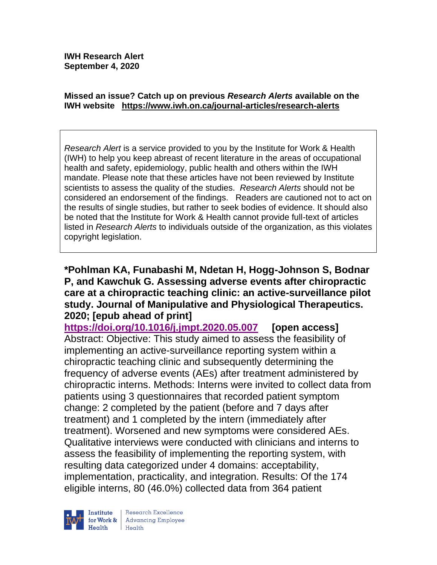#### **Missed an issue? Catch up on previous** *Research Alerts* **available on the [IWH website](http://www.iwh.on.ca/research-alerts) <https://www.iwh.on.ca/journal-articles/research-alerts>**

*Research Alert* is a service provided to you by the Institute for Work & Health (IWH) to help you keep abreast of recent literature in the areas of occupational health and safety, epidemiology, public health and others within the IWH mandate. Please note that these articles have not been reviewed by Institute scientists to assess the quality of the studies. *Research Alerts* should not be considered an endorsement of the findings. Readers are cautioned not to act on the results of single studies, but rather to seek bodies of evidence. It should also be noted that the Institute for Work & Health cannot provide full-text of articles listed in *Research Alerts* to individuals outside of the organization, as this violates copyright legislation.

### **\*Pohlman KA, Funabashi M, Ndetan H, Hogg-Johnson S, Bodnar P, and Kawchuk G. Assessing adverse events after chiropractic care at a chiropractic teaching clinic: an active-surveillance pilot study. Journal of Manipulative and Physiological Therapeutics. 2020; [epub ahead of print]**

**<https://doi.org/10.1016/j.jmpt.2020.05.007> [open access]** Abstract: Objective: This study aimed to assess the feasibility of implementing an active-surveillance reporting system within a chiropractic teaching clinic and subsequently determining the frequency of adverse events (AEs) after treatment administered by chiropractic interns. Methods: Interns were invited to collect data from patients using 3 questionnaires that recorded patient symptom change: 2 completed by the patient (before and 7 days after treatment) and 1 completed by the intern (immediately after treatment). Worsened and new symptoms were considered AEs. Qualitative interviews were conducted with clinicians and interns to assess the feasibility of implementing the reporting system, with resulting data categorized under 4 domains: acceptability, implementation, practicality, and integration. Results: Of the 174 eligible interns, 80 (46.0%) collected data from 364 patient

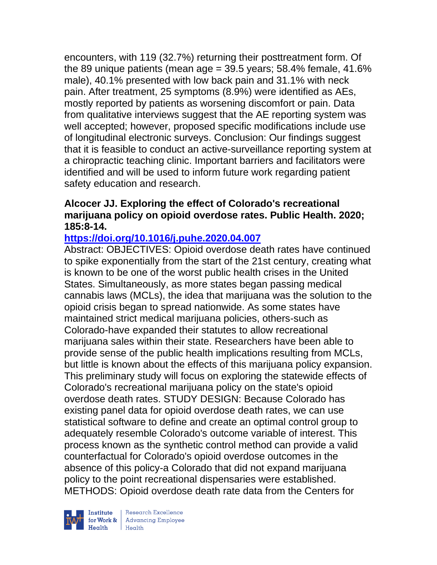encounters, with 119 (32.7%) returning their posttreatment form. Of the 89 unique patients (mean age  $=$  39.5 years; 58.4% female, 41.6% male), 40.1% presented with low back pain and 31.1% with neck pain. After treatment, 25 symptoms (8.9%) were identified as AEs, mostly reported by patients as worsening discomfort or pain. Data from qualitative interviews suggest that the AE reporting system was well accepted; however, proposed specific modifications include use of longitudinal electronic surveys. Conclusion: Our findings suggest that it is feasible to conduct an active-surveillance reporting system at a chiropractic teaching clinic. Important barriers and facilitators were identified and will be used to inform future work regarding patient safety education and research.

# **Alcocer JJ. Exploring the effect of Colorado's recreational marijuana policy on opioid overdose rates. Public Health. 2020; 185:8-14.**

# **<https://doi.org/10.1016/j.puhe.2020.04.007>**

Abstract: OBJECTIVES: Opioid overdose death rates have continued to spike exponentially from the start of the 21st century, creating what is known to be one of the worst public health crises in the United States. Simultaneously, as more states began passing medical cannabis laws (MCLs), the idea that marijuana was the solution to the opioid crisis began to spread nationwide. As some states have maintained strict medical marijuana policies, others-such as Colorado-have expanded their statutes to allow recreational marijuana sales within their state. Researchers have been able to provide sense of the public health implications resulting from MCLs, but little is known about the effects of this marijuana policy expansion. This preliminary study will focus on exploring the statewide effects of Colorado's recreational marijuana policy on the state's opioid overdose death rates. STUDY DESIGN: Because Colorado has existing panel data for opioid overdose death rates, we can use statistical software to define and create an optimal control group to adequately resemble Colorado's outcome variable of interest. This process known as the synthetic control method can provide a valid counterfactual for Colorado's opioid overdose outcomes in the absence of this policy-a Colorado that did not expand marijuana policy to the point recreational dispensaries were established. METHODS: Opioid overdose death rate data from the Centers for



| Research Excellence for Work & Advancing Employee<br>Health Health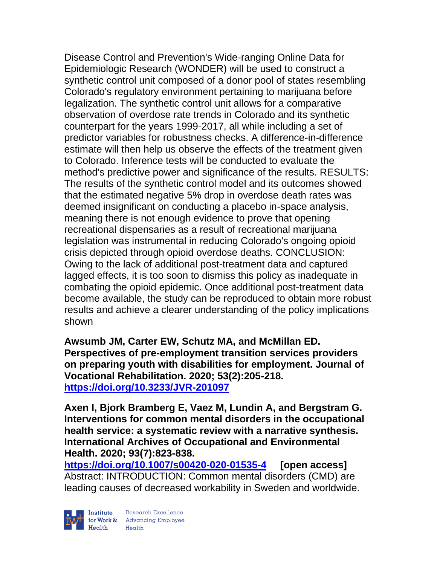Disease Control and Prevention's Wide-ranging Online Data for Epidemiologic Research (WONDER) will be used to construct a synthetic control unit composed of a donor pool of states resembling Colorado's regulatory environment pertaining to marijuana before legalization. The synthetic control unit allows for a comparative observation of overdose rate trends in Colorado and its synthetic counterpart for the years 1999-2017, all while including a set of predictor variables for robustness checks. A difference-in-difference estimate will then help us observe the effects of the treatment given to Colorado. Inference tests will be conducted to evaluate the method's predictive power and significance of the results. RESULTS: The results of the synthetic control model and its outcomes showed that the estimated negative 5% drop in overdose death rates was deemed insignificant on conducting a placebo in-space analysis, meaning there is not enough evidence to prove that opening recreational dispensaries as a result of recreational marijuana legislation was instrumental in reducing Colorado's ongoing opioid crisis depicted through opioid overdose deaths. CONCLUSION: Owing to the lack of additional post-treatment data and captured lagged effects, it is too soon to dismiss this policy as inadequate in combating the opioid epidemic. Once additional post-treatment data become available, the study can be reproduced to obtain more robust results and achieve a clearer understanding of the policy implications shown

**Awsumb JM, Carter EW, Schutz MA, and McMillan ED. Perspectives of pre-employment transition services providers on preparing youth with disabilities for employment. Journal of Vocational Rehabilitation. 2020; 53(2):205-218. <https://doi.org/10.3233/JVR-201097>** 

**Axen I, Bjork Bramberg E, Vaez M, Lundin A, and Bergstram G. Interventions for common mental disorders in the occupational health service: a systematic review with a narrative synthesis. International Archives of Occupational and Environmental Health. 2020; 93(7):823-838.** 

**<https://doi.org/10.1007/s00420-020-01535-4> [open access]** Abstract: INTRODUCTION: Common mental disorders (CMD) are leading causes of decreased workability in Sweden and worldwide.

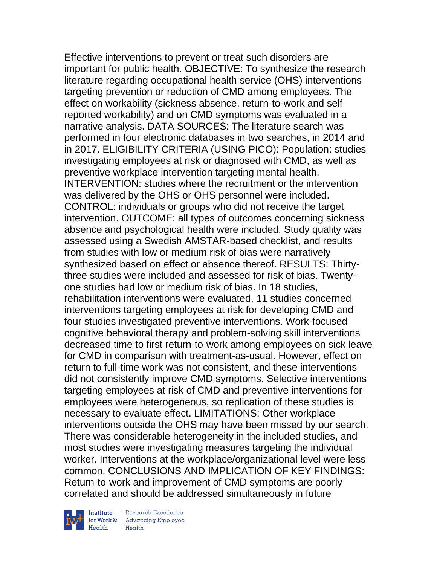Effective interventions to prevent or treat such disorders are important for public health. OBJECTIVE: To synthesize the research literature regarding occupational health service (OHS) interventions targeting prevention or reduction of CMD among employees. The effect on workability (sickness absence, return-to-work and selfreported workability) and on CMD symptoms was evaluated in a narrative analysis. DATA SOURCES: The literature search was performed in four electronic databases in two searches, in 2014 and in 2017. ELIGIBILITY CRITERIA (USING PICO): Population: studies investigating employees at risk or diagnosed with CMD, as well as preventive workplace intervention targeting mental health. INTERVENTION: studies where the recruitment or the intervention was delivered by the OHS or OHS personnel were included. CONTROL: individuals or groups who did not receive the target intervention. OUTCOME: all types of outcomes concerning sickness absence and psychological health were included. Study quality was assessed using a Swedish AMSTAR-based checklist, and results from studies with low or medium risk of bias were narratively synthesized based on effect or absence thereof. RESULTS: Thirtythree studies were included and assessed for risk of bias. Twentyone studies had low or medium risk of bias. In 18 studies, rehabilitation interventions were evaluated, 11 studies concerned interventions targeting employees at risk for developing CMD and four studies investigated preventive interventions. Work-focused cognitive behavioral therapy and problem-solving skill interventions decreased time to first return-to-work among employees on sick leave for CMD in comparison with treatment-as-usual. However, effect on return to full-time work was not consistent, and these interventions did not consistently improve CMD symptoms. Selective interventions targeting employees at risk of CMD and preventive interventions for employees were heterogeneous, so replication of these studies is necessary to evaluate effect. LIMITATIONS: Other workplace interventions outside the OHS may have been missed by our search. There was considerable heterogeneity in the included studies, and most studies were investigating measures targeting the individual worker. Interventions at the workplace/organizational level were less common. CONCLUSIONS AND IMPLICATION OF KEY FINDINGS: Return-to-work and improvement of CMD symptoms are poorly correlated and should be addressed simultaneously in future



Institute Research Excellence<br>
for Work & Advancing Employee<br>
Health Health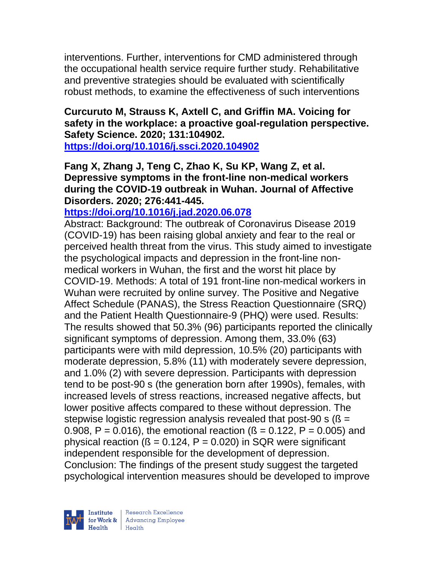interventions. Further, interventions for CMD administered through the occupational health service require further study. Rehabilitative and preventive strategies should be evaluated with scientifically robust methods, to examine the effectiveness of such interventions

# **Curcuruto M, Strauss K, Axtell C, and Griffin MA. Voicing for safety in the workplace: a proactive goal-regulation perspective. Safety Science. 2020; 131:104902.**

**<https://doi.org/10.1016/j.ssci.2020.104902>** 

### **Fang X, Zhang J, Teng C, Zhao K, Su KP, Wang Z, et al. Depressive symptoms in the front-line non-medical workers during the COVID-19 outbreak in Wuhan. Journal of Affective Disorders. 2020; 276:441-445.**

**<https://doi.org/10.1016/j.jad.2020.06.078>** 

Abstract: Background: The outbreak of Coronavirus Disease 2019 (COVID-19) has been raising global anxiety and fear to the real or perceived health threat from the virus. This study aimed to investigate the psychological impacts and depression in the front-line nonmedical workers in Wuhan, the first and the worst hit place by COVID-19. Methods: A total of 191 front-line non-medical workers in Wuhan were recruited by online survey. The Positive and Negative Affect Schedule (PANAS), the Stress Reaction Questionnaire (SRQ) and the Patient Health Questionnaire-9 (PHQ) were used. Results: The results showed that 50.3% (96) participants reported the clinically significant symptoms of depression. Among them, 33.0% (63) participants were with mild depression, 10.5% (20) participants with moderate depression, 5.8% (11) with moderately severe depression, and 1.0% (2) with severe depression. Participants with depression tend to be post-90 s (the generation born after 1990s), females, with increased levels of stress reactions, increased negative affects, but lower positive affects compared to these without depression. The stepwise logistic regression analysis revealed that post-90 s ( $\beta$  = 0.908, P = 0.016), the emotional reaction ( $\beta$  = 0.122, P = 0.005) and physical reaction ( $\beta$  = 0.124, P = 0.020) in SQR were significant independent responsible for the development of depression. Conclusion: The findings of the present study suggest the targeted psychological intervention measures should be developed to improve

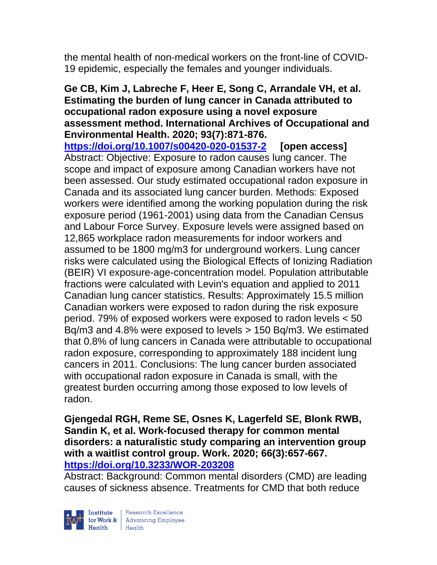the mental health of non-medical workers on the front-line of COVID-19 epidemic, especially the females and younger individuals.

#### **Ge CB, Kim J, Labreche F, Heer E, Song C, Arrandale VH, et al. Estimating the burden of lung cancer in Canada attributed to occupational radon exposure using a novel exposure assessment method. International Archives of Occupational and Environmental Health. 2020; 93(7):871-876.**

**<https://doi.org/10.1007/s00420-020-01537-2> [open access]** Abstract: Objective: Exposure to radon causes lung cancer. The scope and impact of exposure among Canadian workers have not been assessed. Our study estimated occupational radon exposure in Canada and its associated lung cancer burden. Methods: Exposed workers were identified among the working population during the risk exposure period (1961-2001) using data from the Canadian Census and Labour Force Survey. Exposure levels were assigned based on 12,865 workplace radon measurements for indoor workers and assumed to be 1800 mg/m3 for underground workers. Lung cancer risks were calculated using the Biological Effects of Ionizing Radiation (BEIR) VI exposure-age-concentration model. Population attributable fractions were calculated with Levin's equation and applied to 2011 Canadian lung cancer statistics. Results: Approximately 15.5 million Canadian workers were exposed to radon during the risk exposure period. 79% of exposed workers were exposed to radon levels < 50 Bq/m3 and 4.8% were exposed to levels > 150 Bq/m3. We estimated that 0.8% of lung cancers in Canada were attributable to occupational radon exposure, corresponding to approximately 188 incident lung cancers in 2011. Conclusions: The lung cancer burden associated with occupational radon exposure in Canada is small, with the greatest burden occurring among those exposed to low levels of radon.

#### **Gjengedal RGH, Reme SE, Osnes K, Lagerfeld SE, Blonk RWB, Sandin K, et al. Work-focused therapy for common mental disorders: a naturalistic study comparing an intervention group with a waitlist control group. Work. 2020; 66(3):657-667. <https://doi.org/10.3233/WOR-203208>**

Abstract: Background: Common mental disorders (CMD) are leading causes of sickness absence. Treatments for CMD that both reduce



| Research Excellence for Work & Advancing Employee<br>Health Health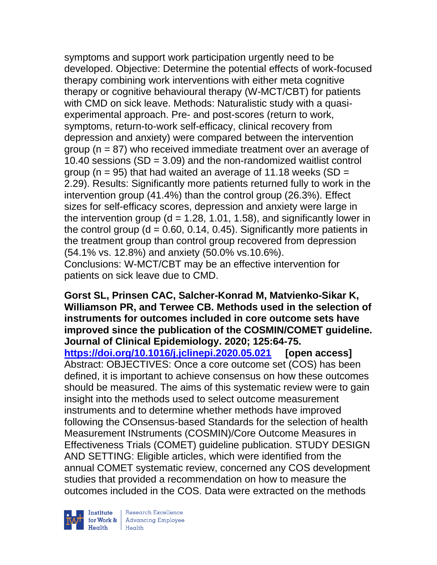symptoms and support work participation urgently need to be developed. Objective: Determine the potential effects of work-focused therapy combining work interventions with either meta cognitive therapy or cognitive behavioural therapy (W-MCT/CBT) for patients with CMD on sick leave. Methods: Naturalistic study with a quasiexperimental approach. Pre- and post-scores (return to work, symptoms, return-to-work self-efficacy, clinical recovery from depression and anxiety) were compared between the intervention group (n = 87) who received immediate treatment over an average of 10.40 sessions  $(SD = 3.09)$  and the non-randomized waitlist control group (n = 95) that had waited an average of 11.18 weeks (SD = 2.29). Results: Significantly more patients returned fully to work in the intervention group (41.4%) than the control group (26.3%). Effect sizes for self-efficacy scores, depression and anxiety were large in the intervention group ( $d = 1.28, 1.01, 1.58$ ), and significantly lower in the control group ( $d = 0.60, 0.14, 0.45$ ). Significantly more patients in the treatment group than control group recovered from depression (54.1% vs. 12.8%) and anxiety (50.0% vs.10.6%). Conclusions: W-MCT/CBT may be an effective intervention for patients on sick leave due to CMD.

**Gorst SL, Prinsen CAC, Salcher-Konrad M, Matvienko-Sikar K, Williamson PR, and Terwee CB. Methods used in the selection of instruments for outcomes included in core outcome sets have improved since the publication of the COSMIN/COMET guideline. Journal of Clinical Epidemiology. 2020; 125:64-75. <https://doi.org/10.1016/j.jclinepi.2020.05.021> [open access]** Abstract: OBJECTIVES: Once a core outcome set (COS) has been defined, it is important to achieve consensus on how these outcomes should be measured. The aims of this systematic review were to gain insight into the methods used to select outcome measurement instruments and to determine whether methods have improved following the COnsensus-based Standards for the selection of health Measurement INstruments (COSMIN)/Core Outcome Measures in Effectiveness Trials (COMET) guideline publication. STUDY DESIGN AND SETTING: Eligible articles, which were identified from the annual COMET systematic review, concerned any COS development studies that provided a recommendation on how to measure the outcomes included in the COS. Data were extracted on the methods



| Research Excellence Finantium Research Excellence<br>
Finantium Research Employee<br>
Realth Health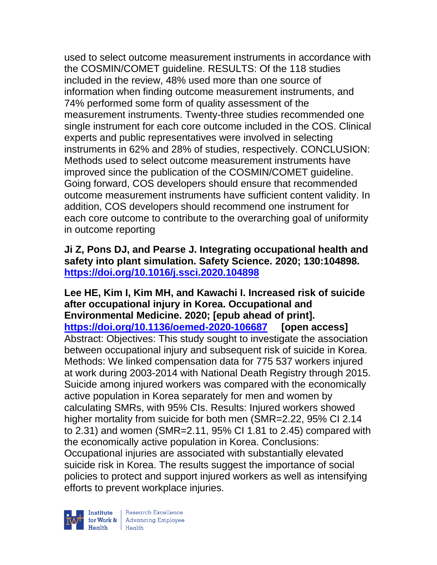used to select outcome measurement instruments in accordance with the COSMIN/COMET guideline. RESULTS: Of the 118 studies included in the review, 48% used more than one source of information when finding outcome measurement instruments, and 74% performed some form of quality assessment of the measurement instruments. Twenty-three studies recommended one single instrument for each core outcome included in the COS. Clinical experts and public representatives were involved in selecting instruments in 62% and 28% of studies, respectively. CONCLUSION: Methods used to select outcome measurement instruments have improved since the publication of the COSMIN/COMET guideline. Going forward, COS developers should ensure that recommended outcome measurement instruments have sufficient content validity. In addition, COS developers should recommend one instrument for each core outcome to contribute to the overarching goal of uniformity in outcome reporting

**Ji Z, Pons DJ, and Pearse J. Integrating occupational health and safety into plant simulation. Safety Science. 2020; 130:104898. <https://doi.org/10.1016/j.ssci.2020.104898>** 

**Lee HE, Kim I, Kim MH, and Kawachi I. Increased risk of suicide after occupational injury in Korea. Occupational and Environmental Medicine. 2020; [epub ahead of print]. <https://doi.org/10.1136/oemed-2020-106687> [open access]** Abstract: Objectives: This study sought to investigate the association between occupational injury and subsequent risk of suicide in Korea. Methods: We linked compensation data for 775 537 workers injured at work during 2003-2014 with National Death Registry through 2015. Suicide among injured workers was compared with the economically active population in Korea separately for men and women by calculating SMRs, with 95% CIs. Results: Injured workers showed higher mortality from suicide for both men (SMR=2.22, 95% CI 2.14 to 2.31) and women (SMR=2.11, 95% CI 1.81 to 2.45) compared with the economically active population in Korea. Conclusions: Occupational injuries are associated with substantially elevated suicide risk in Korea. The results suggest the importance of social policies to protect and support injured workers as well as intensifying efforts to prevent workplace injuries.

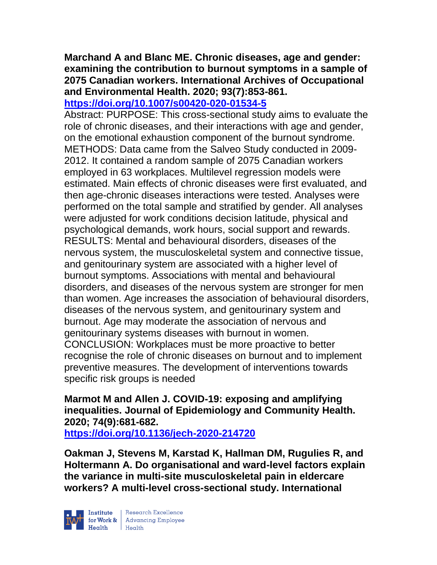#### **Marchand A and Blanc ME. Chronic diseases, age and gender: examining the contribution to burnout symptoms in a sample of 2075 Canadian workers. International Archives of Occupational and Environmental Health. 2020; 93(7):853-861. <https://doi.org/10.1007/s00420-020-01534-5>**

Abstract: PURPOSE: This cross-sectional study aims to evaluate the role of chronic diseases, and their interactions with age and gender, on the emotional exhaustion component of the burnout syndrome. METHODS: Data came from the Salveo Study conducted in 2009- 2012. It contained a random sample of 2075 Canadian workers employed in 63 workplaces. Multilevel regression models were estimated. Main effects of chronic diseases were first evaluated, and then age-chronic diseases interactions were tested. Analyses were performed on the total sample and stratified by gender. All analyses were adjusted for work conditions decision latitude, physical and psychological demands, work hours, social support and rewards. RESULTS: Mental and behavioural disorders, diseases of the nervous system, the musculoskeletal system and connective tissue, and genitourinary system are associated with a higher level of burnout symptoms. Associations with mental and behavioural disorders, and diseases of the nervous system are stronger for men than women. Age increases the association of behavioural disorders, diseases of the nervous system, and genitourinary system and burnout. Age may moderate the association of nervous and genitourinary systems diseases with burnout in women. CONCLUSION: Workplaces must be more proactive to better recognise the role of chronic diseases on burnout and to implement preventive measures. The development of interventions towards specific risk groups is needed

**Marmot M and Allen J. COVID-19: exposing and amplifying inequalities. Journal of Epidemiology and Community Health. 2020; 74(9):681-682.** 

**<https://doi.org/10.1136/jech-2020-214720>** 

**Oakman J, Stevens M, Karstad K, Hallman DM, Rugulies R, and Holtermann A. Do organisational and ward-level factors explain the variance in multi-site musculoskeletal pain in eldercare workers? A multi-level cross-sectional study. International** 

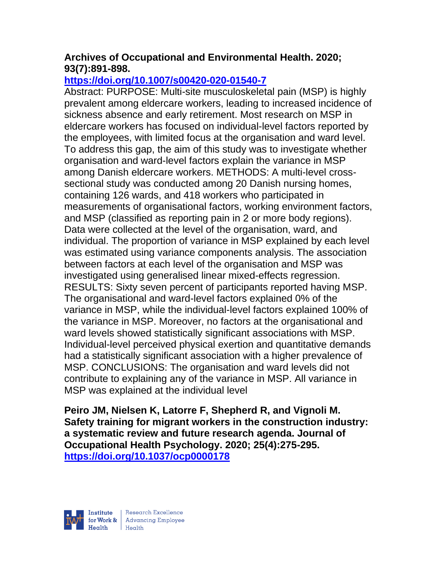# **Archives of Occupational and Environmental Health. 2020; 93(7):891-898.**

# **<https://doi.org/10.1007/s00420-020-01540-7>**

Abstract: PURPOSE: Multi-site musculoskeletal pain (MSP) is highly prevalent among eldercare workers, leading to increased incidence of sickness absence and early retirement. Most research on MSP in eldercare workers has focused on individual-level factors reported by the employees, with limited focus at the organisation and ward level. To address this gap, the aim of this study was to investigate whether organisation and ward-level factors explain the variance in MSP among Danish eldercare workers. METHODS: A multi-level crosssectional study was conducted among 20 Danish nursing homes, containing 126 wards, and 418 workers who participated in measurements of organisational factors, working environment factors, and MSP (classified as reporting pain in 2 or more body regions). Data were collected at the level of the organisation, ward, and individual. The proportion of variance in MSP explained by each level was estimated using variance components analysis. The association between factors at each level of the organisation and MSP was investigated using generalised linear mixed-effects regression. RESULTS: Sixty seven percent of participants reported having MSP. The organisational and ward-level factors explained 0% of the variance in MSP, while the individual-level factors explained 100% of the variance in MSP. Moreover, no factors at the organisational and ward levels showed statistically significant associations with MSP. Individual-level perceived physical exertion and quantitative demands had a statistically significant association with a higher prevalence of MSP. CONCLUSIONS: The organisation and ward levels did not contribute to explaining any of the variance in MSP. All variance in MSP was explained at the individual level

**Peiro JM, Nielsen K, Latorre F, Shepherd R, and Vignoli M. Safety training for migrant workers in the construction industry: a systematic review and future research agenda. Journal of Occupational Health Psychology. 2020; 25(4):275-295. <https://doi.org/10.1037/ocp0000178>** 

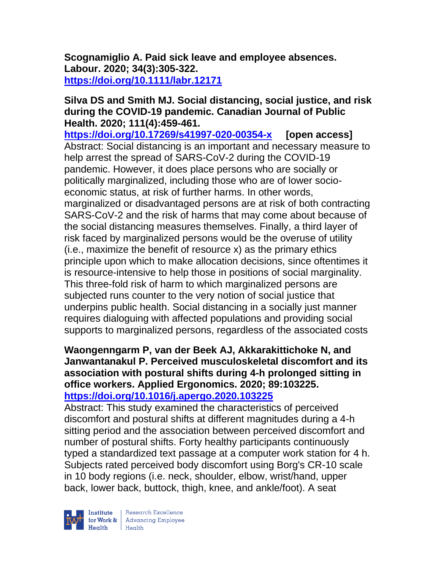**Scognamiglio A. Paid sick leave and employee absences. Labour. 2020; 34(3):305-322. <https://doi.org/10.1111/labr.12171>** 

#### **Silva DS and Smith MJ. Social distancing, social justice, and risk during the COVID-19 pandemic. Canadian Journal of Public Health. 2020; 111(4):459-461.**

**<https://doi.org/10.17269/s41997-020-00354-x> [open access]** Abstract: Social distancing is an important and necessary measure to help arrest the spread of SARS-CoV-2 during the COVID-19 pandemic. However, it does place persons who are socially or politically marginalized, including those who are of lower socioeconomic status, at risk of further harms. In other words, marginalized or disadvantaged persons are at risk of both contracting SARS-CoV-2 and the risk of harms that may come about because of the social distancing measures themselves. Finally, a third layer of risk faced by marginalized persons would be the overuse of utility (i.e., maximize the benefit of resource x) as the primary ethics principle upon which to make allocation decisions, since oftentimes it is resource-intensive to help those in positions of social marginality. This three-fold risk of harm to which marginalized persons are subjected runs counter to the very notion of social justice that underpins public health. Social distancing in a socially just manner requires dialoguing with affected populations and providing social supports to marginalized persons, regardless of the associated costs

### **Waongenngarm P, van der Beek AJ, Akkarakittichoke N, and Janwantanakul P. Perceived musculoskeletal discomfort and its association with postural shifts during 4-h prolonged sitting in office workers. Applied Ergonomics. 2020; 89:103225. <https://doi.org/10.1016/j.apergo.2020.103225>**

Abstract: This study examined the characteristics of perceived discomfort and postural shifts at different magnitudes during a 4-h sitting period and the association between perceived discomfort and number of postural shifts. Forty healthy participants continuously typed a standardized text passage at a computer work station for 4 h. Subjects rated perceived body discomfort using Borg's CR-10 scale in 10 body regions (i.e. neck, shoulder, elbow, wrist/hand, upper back, lower back, buttock, thigh, knee, and ankle/foot). A seat



| Research Excellence for Work & Advancing Employee<br>Health Health